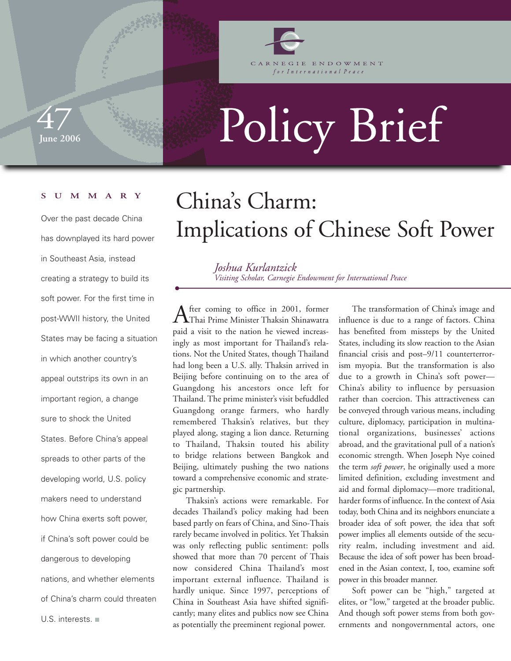

GIE ENDOWMENT for International Peace

**June 2006**  47

# Policy Brief

#### **SUMMARY**

Over the past decade China has downplayed its hard power in Southeast Asia, instead creating a strategy to build its soft power. For the first time in post-WWII history, the United States may be facing a situation in which another country's appeal outstrips its own in an important region, a change sure to shock the United States. Before China's appeal spreads to other parts of the developing world, U.S. policy makers need to understand how China exerts soft power, if China's soft power could be dangerous to developing nations, and whether elements of China's charm could threaten U.S. interests. ■

## China's Charm: Implications of Chinese Soft Power

*Joshua Kurlantzick Visiting Scholar, Carnegie Endowment for International Peace*

After coming to office in 2001, former Thai Prime Minister Thaksin Shinawatra paid a visit to the nation he viewed increasingly as most important for Thailand's relations. Not the United States, though Thailand had long been a U.S. ally. Thaksin arrived in Beijing before continuing on to the area of Guangdong his ancestors once left for Thailand. The prime minister's visit befuddled Guangdong orange farmers, who hardly remembered Thaksin's relatives, but they played along, staging a lion dance. Returning to Thailand, Thaksin touted his ability to bridge relations between Bangkok and Beijing, ultimately pushing the two nations toward a comprehensive economic and strategic partnership.

Thaksin's actions were remarkable. For decades Thailand's policy making had been based partly on fears of China, and Sino-Thais rarely became involved in politics. Yet Thaksin was only reflecting public sentiment: polls showed that more than 70 percent of Thais now considered China Thailand's most important external influence. Thailand is hardly unique. Since 1997, perceptions of China in Southeast Asia have shifted significantly; many elites and publics now see China as potentially the preeminent regional power.

The transformation of China's image and influence is due to a range of factors. China has benefited from missteps by the United States, including its slow reaction to the Asian financial crisis and post–9/11 counterterrorism myopia. But the transformation is also due to a growth in China's soft power— China's ability to influence by persuasion rather than coercion. This attractiveness can be conveyed through various means, including culture, diplomacy, participation in multinational organizations, businesses' actions abroad, and the gravitational pull of a nation's economic strength. When Joseph Nye coined the term *soft power*, he originally used a more limited definition, excluding investment and aid and formal diplomacy—more traditional, harder forms of influence. In the context of Asia today, both China and its neighbors enunciate a broader idea of soft power, the idea that soft power implies all elements outside of the security realm, including investment and aid. Because the idea of soft power has been broadened in the Asian context, I, too, examine soft power in this broader manner.

Soft power can be "high," targeted at elites, or "low," targeted at the broader public. And though soft power stems from both governments and nongovernmental actors, one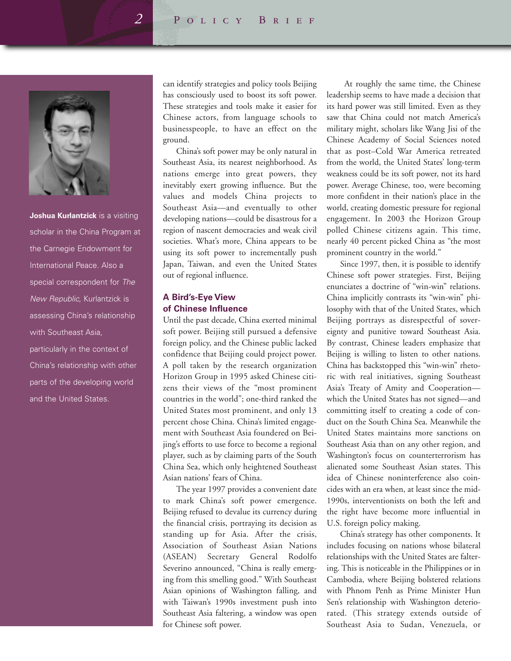

**Joshua Kurlantzick** is a visiting scholar in the China Program at the Carnegie Endowment for International Peace. Also a special correspondent for The New Republic, Kurlantzick is assessing China's relationship with Southeast Asia, particularly in the context of China's relationship with other parts of the developing world and the United States.

can identify strategies and policy tools Beijing has consciously used to boost its soft power. These strategies and tools make it easier for Chinese actors, from language schools to businesspeople, to have an effect on the ground.

China's soft power may be only natural in Southeast Asia, its nearest neighborhood. As nations emerge into great powers, they inevitably exert growing influence. But the values and models China projects to Southeast Asia—and eventually to other developing nations—could be disastrous for a region of nascent democracies and weak civil societies. What's more, China appears to be using its soft power to incrementally push Japan, Taiwan, and even the United States out of regional influence.

#### **A Bird's-Eye View of Chinese Influence**

Until the past decade, China exerted minimal soft power. Beijing still pursued a defensive foreign policy, and the Chinese public lacked confidence that Beijing could project power. A poll taken by the research organization Horizon Group in 1995 asked Chinese citizens their views of the "most prominent countries in the world"; one-third ranked the United States most prominent, and only 13 percent chose China. China's limited engagement with Southeast Asia foundered on Beijing's efforts to use force to become a regional player, such as by claiming parts of the South China Sea, which only heightened Southeast Asian nations' fears of China.

The year 1997 provides a convenient date to mark China's soft power emergence. Beijing refused to devalue its currency during the financial crisis, portraying its decision as standing up for Asia. After the crisis, Association of Southeast Asian Nations (ASEAN) Secretary General Rodolfo Severino announced, "China is really emerging from this smelling good." With Southeast Asian opinions of Washington falling, and with Taiwan's 1990s investment push into Southeast Asia faltering, a window was open for Chinese soft power.

At roughly the same time, the Chinese leadership seems to have made a decision that its hard power was still limited. Even as they saw that China could not match America's military might, scholars like Wang Jisi of the Chinese Academy of Social Sciences noted that as post–Cold War America retreated from the world, the United States' long-term weakness could be its soft power, not its hard power. Average Chinese, too, were becoming more confident in their nation's place in the world, creating domestic pressure for regional engagement. In 2003 the Horizon Group polled Chinese citizens again. This time, nearly 40 percent picked China as "the most prominent country in the world."

Since 1997, then, it is possible to identify Chinese soft power strategies. First, Beijing enunciates a doctrine of "win-win" relations. China implicitly contrasts its "win-win" philosophy with that of the United States, which Beijing portrays as disrespectful of sovereignty and punitive toward Southeast Asia. By contrast, Chinese leaders emphasize that Beijing is willing to listen to other nations. China has backstopped this "win-win" rhetoric with real initiatives, signing Southeast Asia's Treaty of Amity and Cooperation which the United States has not signed—and committing itself to creating a code of conduct on the South China Sea. Meanwhile the United States maintains more sanctions on Southeast Asia than on any other region, and Washington's focus on counterterrorism has alienated some Southeast Asian states. This idea of Chinese noninterference also coincides with an era when, at least since the mid-1990s, interventionists on both the left and the right have become more influential in U.S. foreign policy making.

China's strategy has other components. It includes focusing on nations whose bilateral relationships with the United States are faltering. This is noticeable in the Philippines or in Cambodia, where Beijing bolstered relations with Phnom Penh as Prime Minister Hun Sen's relationship with Washington deteriorated. (This strategy extends outside of Southeast Asia to Sudan, Venezuela, or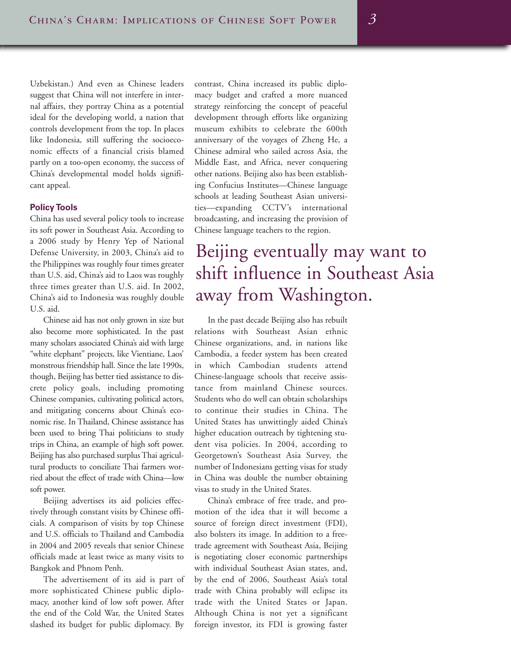Uzbekistan.) And even as Chinese leaders suggest that China will not interfere in internal affairs, they portray China as a potential ideal for the developing world, a nation that controls development from the top. In places like Indonesia, still suffering the socioeconomic effects of a financial crisis blamed partly on a too-open economy, the success of China's developmental model holds significant appeal.

#### **Policy Tools**

China has used several policy tools to increase its soft power in Southeast Asia. According to a 2006 study by Henry Yep of National Defense University, in 2003, China's aid to the Philippines was roughly four times greater than U.S. aid, China's aid to Laos was roughly three times greater than U.S. aid. In 2002, China's aid to Indonesia was roughly double U.S. aid.

Chinese aid has not only grown in size but also become more sophisticated. In the past many scholars associated China's aid with large "white elephant" projects, like Vientiane, Laos' monstrous friendship hall. Since the late 1990s, though, Beijing has better tied assistance to discrete policy goals, including promoting Chinese companies, cultivating political actors, and mitigating concerns about China's economic rise. In Thailand, Chinese assistance has been used to bring Thai politicians to study trips in China, an example of high soft power. Beijing has also purchased surplus Thai agricultural products to conciliate Thai farmers worried about the effect of trade with China—low soft power.

Beijing advertises its aid policies effectively through constant visits by Chinese officials. A comparison of visits by top Chinese and U.S. officials to Thailand and Cambodia in 2004 and 2005 reveals that senior Chinese officials made at least twice as many visits to Bangkok and Phnom Penh.

The advertisement of its aid is part of more sophisticated Chinese public diplomacy, another kind of low soft power. After the end of the Cold War, the United States slashed its budget for public diplomacy. By

contrast, China increased its public diplomacy budget and crafted a more nuanced strategy reinforcing the concept of peaceful development through efforts like organizing museum exhibits to celebrate the 600th anniversary of the voyages of Zheng He, a Chinese admiral who sailed across Asia, the Middle East, and Africa, never conquering other nations. Beijing also has been establishing Confucius Institutes—Chinese language schools at leading Southeast Asian universities—expanding CCTV's international broadcasting, and increasing the provision of Chinese language teachers to the region.

## Beijing eventually may want to shift influence in Southeast Asia away from Washington.

In the past decade Beijing also has rebuilt relations with Southeast Asian ethnic Chinese organizations, and, in nations like Cambodia, a feeder system has been created in which Cambodian students attend Chinese-language schools that receive assistance from mainland Chinese sources. Students who do well can obtain scholarships to continue their studies in China. The United States has unwittingly aided China's higher education outreach by tightening student visa policies. In 2004, according to Georgetown's Southeast Asia Survey, the number of Indonesians getting visas for study in China was double the number obtaining visas to study in the United States.

China's embrace of free trade, and promotion of the idea that it will become a source of foreign direct investment (FDI), also bolsters its image. In addition to a freetrade agreement with Southeast Asia, Beijing is negotiating closer economic partnerships with individual Southeast Asian states, and, by the end of 2006, Southeast Asia's total trade with China probably will eclipse its trade with the United States or Japan. Although China is not yet a significant foreign investor, its FDI is growing faster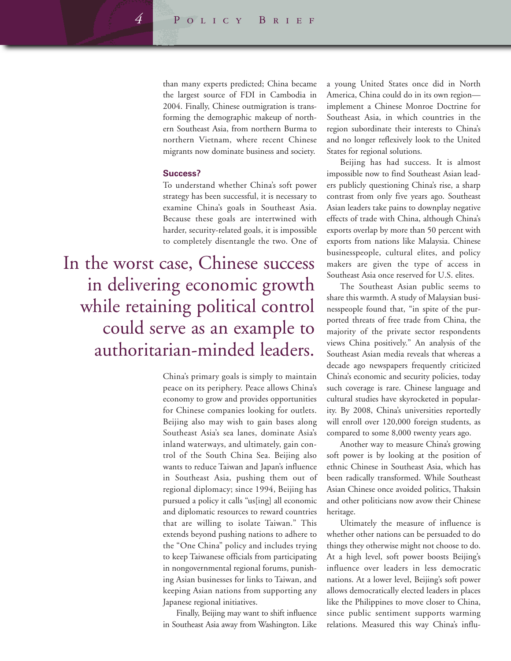than many experts predicted; China became the largest source of FDI in Cambodia in 2004. Finally, Chinese outmigration is transforming the demographic makeup of northern Southeast Asia, from northern Burma to northern Vietnam, where recent Chinese migrants now dominate business and society.

#### **Success?**

To understand whether China's soft power strategy has been successful, it is necessary to examine China's goals in Southeast Asia. Because these goals are intertwined with harder, security-related goals, it is impossible to completely disentangle the two. One of

In the worst case, Chinese success in delivering economic growth while retaining political control could serve as an example to authoritarian-minded leaders.

> China's primary goals is simply to maintain peace on its periphery. Peace allows China's economy to grow and provides opportunities for Chinese companies looking for outlets. Beijing also may wish to gain bases along Southeast Asia's sea lanes, dominate Asia's inland waterways, and ultimately, gain control of the South China Sea. Beijing also wants to reduce Taiwan and Japan's influence in Southeast Asia, pushing them out of regional diplomacy; since 1994, Beijing has pursued a policy it calls "us[ing] all economic and diplomatic resources to reward countries that are willing to isolate Taiwan." This extends beyond pushing nations to adhere to the "One China" policy and includes trying to keep Taiwanese officials from participating in nongovernmental regional forums, punishing Asian businesses for links to Taiwan, and keeping Asian nations from supporting any Japanese regional initiatives.

> Finally, Beijing may want to shift influence in Southeast Asia away from Washington. Like

a young United States once did in North America, China could do in its own region implement a Chinese Monroe Doctrine for Southeast Asia, in which countries in the region subordinate their interests to China's and no longer reflexively look to the United States for regional solutions.

Beijing has had success. It is almost impossible now to find Southeast Asian leaders publicly questioning China's rise, a sharp contrast from only five years ago. Southeast Asian leaders take pains to downplay negative effects of trade with China, although China's exports overlap by more than 50 percent with exports from nations like Malaysia. Chinese businesspeople, cultural elites, and policy makers are given the type of access in Southeast Asia once reserved for U.S. elites.

The Southeast Asian public seems to share this warmth. A study of Malaysian businesspeople found that, "in spite of the purported threats of free trade from China, the majority of the private sector respondents views China positively." An analysis of the Southeast Asian media reveals that whereas a decade ago newspapers frequently criticized China's economic and security policies, today such coverage is rare. Chinese language and cultural studies have skyrocketed in popularity. By 2008, China's universities reportedly will enroll over 120,000 foreign students, as compared to some 8,000 twenty years ago.

Another way to measure China's growing soft power is by looking at the position of ethnic Chinese in Southeast Asia, which has been radically transformed. While Southeast Asian Chinese once avoided politics, Thaksin and other politicians now avow their Chinese heritage.

Ultimately the measure of influence is whether other nations can be persuaded to do things they otherwise might not choose to do. At a high level, soft power boosts Beijing's influence over leaders in less democratic nations. At a lower level, Beijing's soft power allows democratically elected leaders in places like the Philippines to move closer to China, since public sentiment supports warming relations. Measured this way China's influ-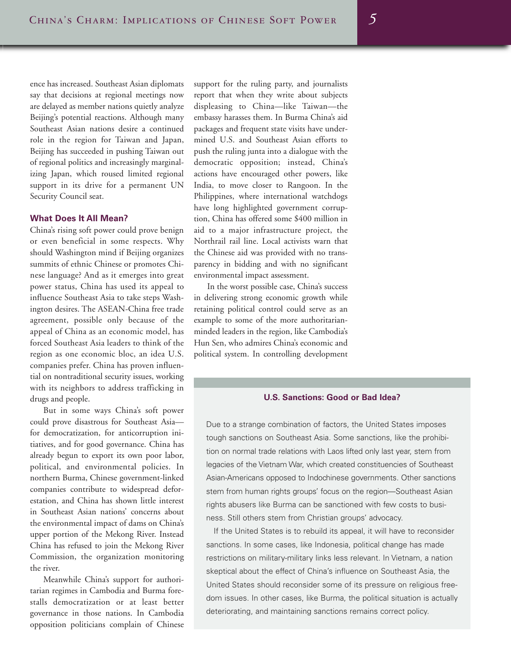ence has increased. Southeast Asian diplomats say that decisions at regional meetings now are delayed as member nations quietly analyze Beijing's potential reactions. Although many Southeast Asian nations desire a continued role in the region for Taiwan and Japan, Beijing has succeeded in pushing Taiwan out of regional politics and increasingly marginalizing Japan, which roused limited regional support in its drive for a permanent UN Security Council seat.

#### **What Does It All Mean?**

China's rising soft power could prove benign or even beneficial in some respects. Why should Washington mind if Beijing organizes summits of ethnic Chinese or promotes Chinese language? And as it emerges into great power status, China has used its appeal to influence Southeast Asia to take steps Washington desires. The ASEAN-China free trade agreement, possible only because of the appeal of China as an economic model, has forced Southeast Asia leaders to think of the region as one economic bloc, an idea U.S. companies prefer. China has proven influential on nontraditional security issues, working with its neighbors to address trafficking in drugs and people.

But in some ways China's soft power could prove disastrous for Southeast Asia for democratization, for anticorruption initiatives, and for good governance. China has already begun to export its own poor labor, political, and environmental policies. In northern Burma, Chinese government-linked companies contribute to widespread deforestation, and China has shown little interest in Southeast Asian nations' concerns about the environmental impact of dams on China's upper portion of the Mekong River. Instead China has refused to join the Mekong River Commission, the organization monitoring the river.

Meanwhile China's support for authoritarian regimes in Cambodia and Burma forestalls democratization or at least better governance in those nations. In Cambodia opposition politicians complain of Chinese

support for the ruling party, and journalists report that when they write about subjects displeasing to China—like Taiwan—the embassy harasses them. In Burma China's aid packages and frequent state visits have undermined U.S. and Southeast Asian efforts to push the ruling junta into a dialogue with the democratic opposition; instead, China's actions have encouraged other powers, like India, to move closer to Rangoon. In the Philippines, where international watchdogs have long highlighted government corruption, China has offered some \$400 million in aid to a major infrastructure project, the Northrail rail line. Local activists warn that the Chinese aid was provided with no transparency in bidding and with no significant environmental impact assessment.

In the worst possible case, China's success in delivering strong economic growth while retaining political control could serve as an example to some of the more authoritarianminded leaders in the region, like Cambodia's Hun Sen, who admires China's economic and political system. In controlling development

#### **U.S. Sanctions: Good or Bad Idea?**

Due to a strange combination of factors, the United States imposes tough sanctions on Southeast Asia. Some sanctions, like the prohibition on normal trade relations with Laos lifted only last year, stem from legacies of the Vietnam War, which created constituencies of Southeast Asian-Americans opposed to Indochinese governments. Other sanctions stem from human rights groups' focus on the region—Southeast Asian rights abusers like Burma can be sanctioned with few costs to business. Still others stem from Christian groups' advocacy.

If the United States is to rebuild its appeal, it will have to reconsider sanctions. In some cases, like Indonesia, political change has made restrictions on military-military links less relevant. In Vietnam, a nation skeptical about the effect of China's influence on Southeast Asia, the United States should reconsider some of its pressure on religious freedom issues. In other cases, like Burma, the political situation is actually deteriorating, and maintaining sanctions remains correct policy.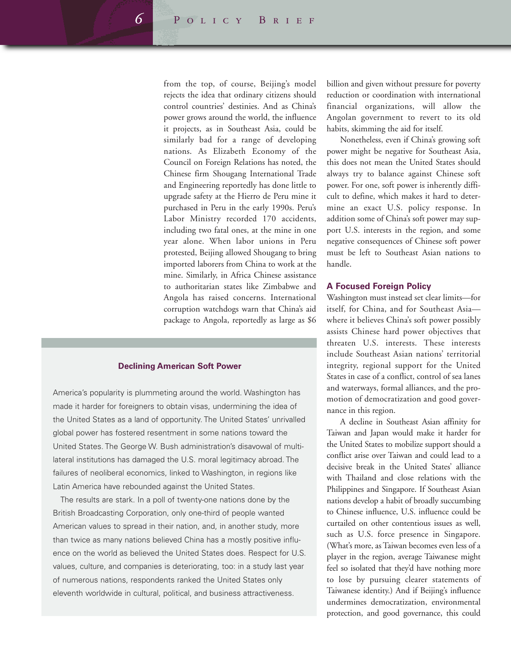from the top, of course, Beijing's model rejects the idea that ordinary citizens should control countries' destinies. And as China's power grows around the world, the influence it projects, as in Southeast Asia, could be similarly bad for a range of developing nations. As Elizabeth Economy of the Council on Foreign Relations has noted, the Chinese firm Shougang International Trade and Engineering reportedly has done little to upgrade safety at the Hierro de Peru mine it purchased in Peru in the early 1990s. Peru's Labor Ministry recorded 170 accidents, including two fatal ones, at the mine in one year alone. When labor unions in Peru protested, Beijing allowed Shougang to bring imported laborers from China to work at the mine. Similarly, in Africa Chinese assistance to authoritarian states like Zimbabwe and Angola has raised concerns. International corruption watchdogs warn that China's aid package to Angola, reportedly as large as \$6

#### **Declining American Soft Power**

America's popularity is plummeting around the world. Washington has made it harder for foreigners to obtain visas, undermining the idea of the United States as a land of opportunity. The United States' unrivalled global power has fostered resentment in some nations toward the United States. The George W. Bush administration's disavowal of multilateral institutions has damaged the U.S. moral legitimacy abroad. The failures of neoliberal economics, linked to Washington, in regions like Latin America have rebounded against the United States.

The results are stark. In a poll of twenty-one nations done by the British Broadcasting Corporation, only one-third of people wanted American values to spread in their nation, and, in another study, more than twice as many nations believed China has a mostly positive influence on the world as believed the United States does. Respect for U.S. values, culture, and companies is deteriorating, too: in a study last year of numerous nations, respondents ranked the United States only eleventh worldwide in cultural, political, and business attractiveness.

billion and given without pressure for poverty reduction or coordination with international financial organizations, will allow the Angolan government to revert to its old habits, skimming the aid for itself.

Nonetheless, even if China's growing soft power might be negative for Southeast Asia, this does not mean the United States should always try to balance against Chinese soft power. For one, soft power is inherently difficult to define, which makes it hard to determine an exact U.S. policy response. In addition some of China's soft power may support U.S. interests in the region, and some negative consequences of Chinese soft power must be left to Southeast Asian nations to handle.

#### **A Focused Foreign Policy**

Washington must instead set clear limits—for itself, for China, and for Southeast Asia where it believes China's soft power possibly assists Chinese hard power objectives that threaten U.S. interests. These interests include Southeast Asian nations' territorial integrity, regional support for the United States in case of a conflict, control of sea lanes and waterways, formal alliances, and the promotion of democratization and good governance in this region.

A decline in Southeast Asian affinity for Taiwan and Japan would make it harder for the United States to mobilize support should a conflict arise over Taiwan and could lead to a decisive break in the United States' alliance with Thailand and close relations with the Philippines and Singapore. If Southeast Asian nations develop a habit of broadly succumbing to Chinese influence, U.S. influence could be curtailed on other contentious issues as well, such as U.S. force presence in Singapore. (What's more, as Taiwan becomes even less of a player in the region, average Taiwanese might feel so isolated that they'd have nothing more to lose by pursuing clearer statements of Taiwanese identity.) And if Beijing's influence undermines democratization, environmental protection, and good governance, this could

*6*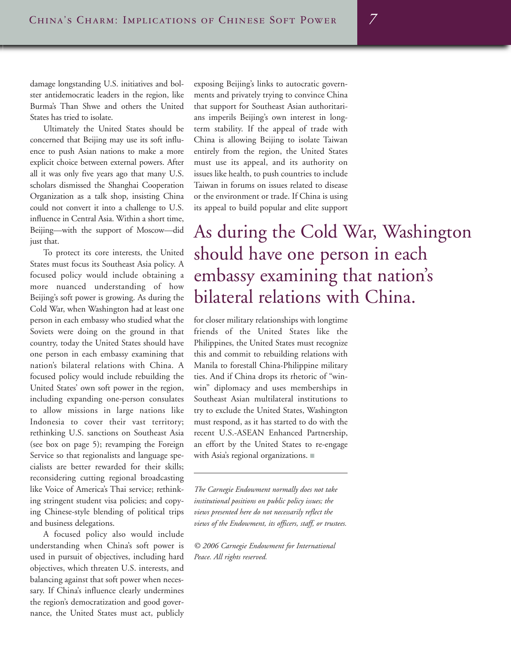damage longstanding U.S. initiatives and bolster antidemocratic leaders in the region, like Burma's Than Shwe and others the United States has tried to isolate.

Ultimately the United States should be concerned that Beijing may use its soft influence to push Asian nations to make a more explicit choice between external powers. After all it was only five years ago that many U.S. scholars dismissed the Shanghai Cooperation Organization as a talk shop, insisting China could not convert it into a challenge to U.S. influence in Central Asia. Within a short time, Beijing—with the support of Moscow—did just that.

To protect its core interests, the United States must focus its Southeast Asia policy. A focused policy would include obtaining a more nuanced understanding of how Beijing's soft power is growing. As during the Cold War, when Washington had at least one person in each embassy who studied what the Soviets were doing on the ground in that country, today the United States should have one person in each embassy examining that nation's bilateral relations with China. A focused policy would include rebuilding the United States' own soft power in the region, including expanding one-person consulates to allow missions in large nations like Indonesia to cover their vast territory; rethinking U.S. sanctions on Southeast Asia (see box on page 5); revamping the Foreign Service so that regionalists and language specialists are better rewarded for their skills; reconsidering cutting regional broadcasting like Voice of America's Thai service; rethinking stringent student visa policies; and copying Chinese-style blending of political trips and business delegations.

A focused policy also would include understanding when China's soft power is used in pursuit of objectives, including hard objectives, which threaten U.S. interests, and balancing against that soft power when necessary. If China's influence clearly undermines the region's democratization and good governance, the United States must act, publicly exposing Beijing's links to autocratic governments and privately trying to convince China that support for Southeast Asian authoritarians imperils Beijing's own interest in longterm stability. If the appeal of trade with China is allowing Beijing to isolate Taiwan entirely from the region, the United States must use its appeal, and its authority on issues like health, to push countries to include Taiwan in forums on issues related to disease or the environment or trade. If China is using its appeal to build popular and elite support

## As during the Cold War, Washington should have one person in each embassy examining that nation's bilateral relations with China.

for closer military relationships with longtime friends of the United States like the Philippines, the United States must recognize this and commit to rebuilding relations with Manila to forestall China-Philippine military ties. And if China drops its rhetoric of "winwin" diplomacy and uses memberships in Southeast Asian multilateral institutions to try to exclude the United States, Washington must respond, as it has started to do with the recent U.S.-ASEAN Enhanced Partnership, an effort by the United States to re-engage with Asia's regional organizations. ■

*The Carnegie Endowment normally does not take institutional positions on public policy issues; the views presented here do not necessarily reflect the views of the Endowment, its officers, staff, or trustees.*

*© 2006 Carnegie Endowment for International Peace. All rights reserved.*

*7*